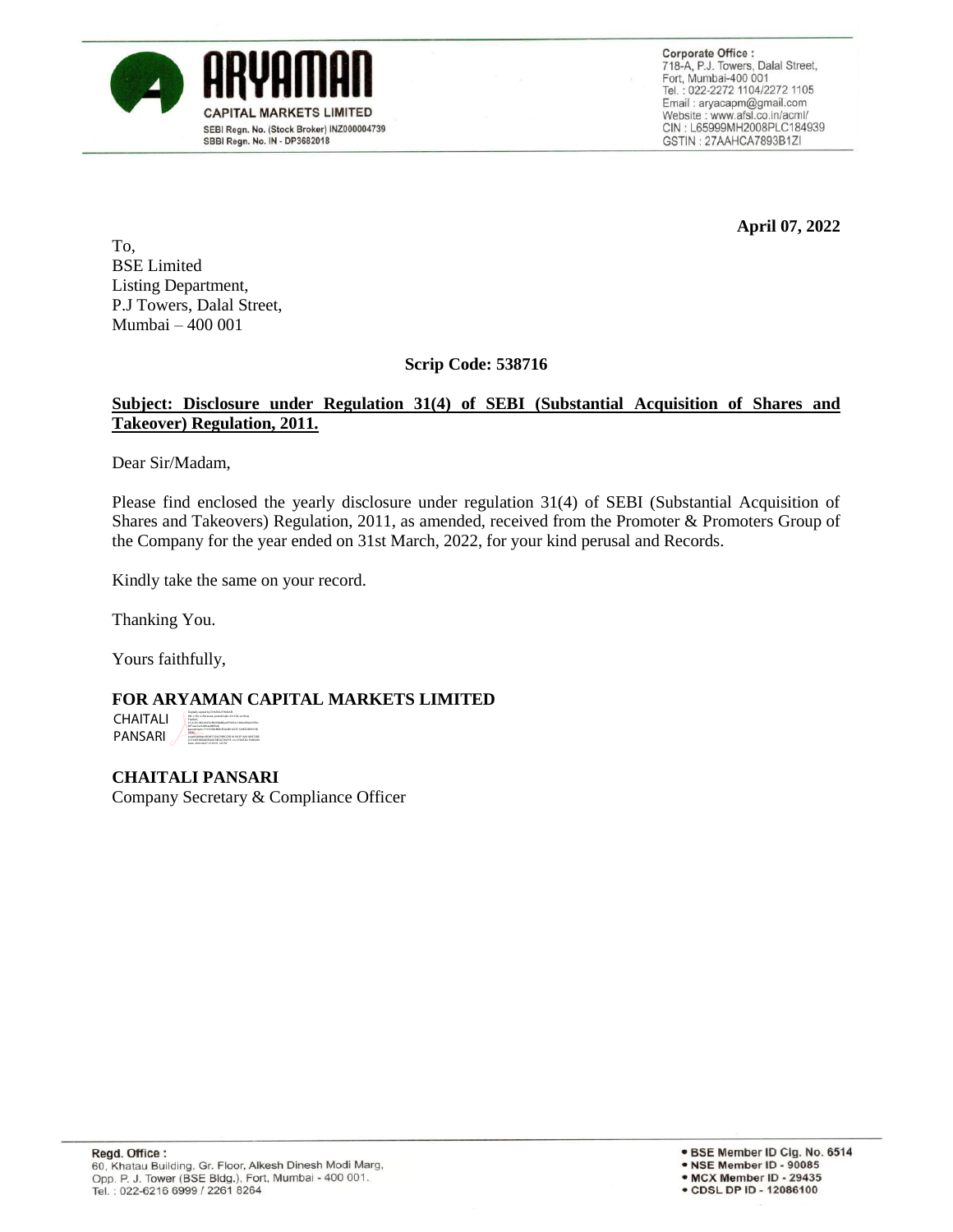

**Corporate Office:** 718-A, P.J. Towers, Dalal Street, Fort, Mumbai-400 001 Tel.: 022-2272 1104/2272 1105 Email: aryacapm@gmail.com Website: www.afsl.co.in/acml/ CIN: L65999MH2008PLC184939 GSTIN: 27AAHCA7893B1ZI

**April 07, 2022**

To, BSE Limited Listing Department, P.J Towers, Dalal Street, Mumbai – 400 001

**Scrip Code: 538716**

## **Subject: Disclosure under Regulation 31(4) of SEBI (Substantial Acquisition of Shares and Takeover) Regulation, 2011.**

Dear Sir/Madam,

Please find enclosed the yearly disclosure under regulation 31(4) of SEBI (Substantial Acquisition of Shares and Takeovers) Regulation, 2011, as amended, received from the Promoter & Promoters Group of the Company for the year ended on 31st March, 2022, for your kind perusal and Records.

Kindly take the same on your record.

Thanking You.

Yours faithfully,

**FOR ARYAMAN CAPITAL MARKETS LIMITED**

CHAITALI PANSARI DN: c=IN, o=Personal, postalCode=231218, st=Uttar 2.5.4.20=0b1e9472cf80108d82a4570016c1966a3fde6307bc pseudonym=7115C982EB81EDA0E01627C12987DAE931E0 ADAC, serialNumber=BD4FC32AC39BCC9D1A1012F16A2180572BE 2C35AEFD80283E268138FAC392F5F, cn=CHAITALI PANSARI Date: 2022.04.07 15:25:01 +05'30'

**CHAITALI PANSARI** Company Secretary & Compliance Officer